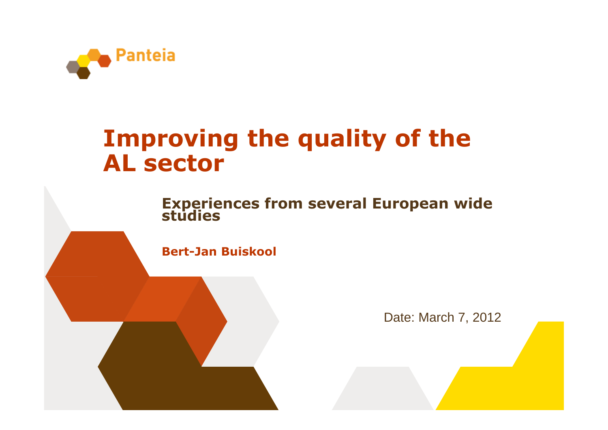

#### Improving the quality of the AL sector

Experiences from several European wide<br>studies

Bert-Jan Buiskool

Date: March 7, 2012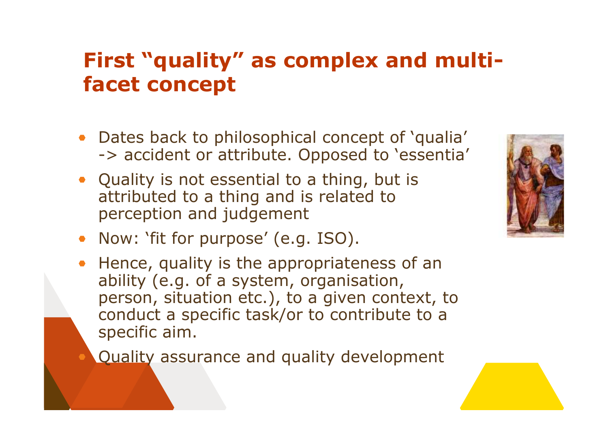#### First "quality" as complex and multifacet concept

- Dates back to philosophical concept of 'qualia' -> accident or attribute. Opposed to 'essentia'
- Quality is not essential to a thing, but is attributed to a thing and is related to perception and judgement
- Now: 'fit for purpose' (e.g. ISO).
- Hence, quality is the appropriateness of an ability (e.g. of a system, organisation, person, situation etc.), to a given context, to conduct a specific task/or to contribute to a specific aim.

Quality assurance and quality development

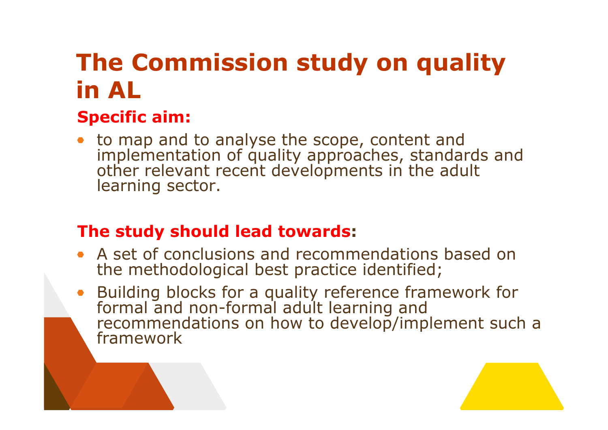## The Commission study on quality in AL

# Specific aim:

to map and to analyse the scope, content and implementation of quality approaches, standards andother relevant recent developments in the adult learning sector.

#### The study should lead towards:

- A set of conclusions and recommendations based on the methodological best practice identified;
- Building blocks for a quality reference framework for formal and non-formal adult learning and recommendations on how to develop/implement such a framework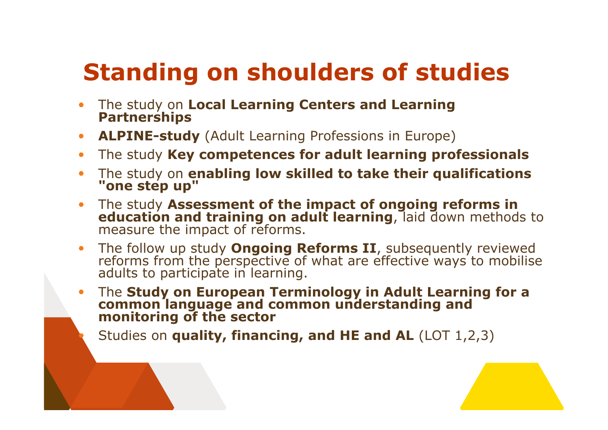## Standing on shoulders of studies

- The study on Local Learning Centers and Learning Partnerships $\bullet$
- ALPINE-study (Adult Learning Professions in Europe)  $\bullet$
- The study Key competences for adult learning professionals  $\bullet$
- The study on **enabling low skilled to take their qualifications**<br>"one step up"
- The study Assessment of the impact of ongoing reforms in  $\bullet$ education and training on adult learning, laid down methods to measure the impact of reforms.
- The follow up study **Ongoing Reforms II**, subsequently reviewed reforms from the perspective of what are effective ways to mobilise adults to participate in learning.
- The Study on European Terminology in Adult Learning for a common language and common understanding and monitoring of the sector

Studies on **quality, financing, and HE and AL** (LOT 1,2,3)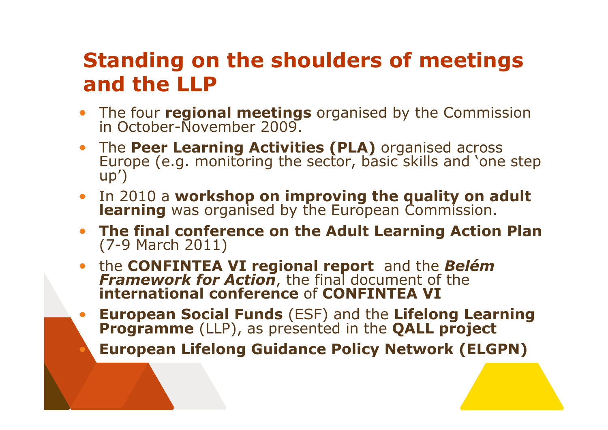#### Standing on the shoulders of meetings and the LLP

- The four **regional meetings** organised by the Commission<br>in October-November 2009.
- The Peer Learning Activities (PLA) organised across<br>Europe (e.g. monitoring the sector, basic skills and 'one step<br>up')
- In 2010 a workshop on improving the quality on adult **learning** was organised by the European Commission.
- The final conference on the Adult Learning Action Plan(7-9 March 2011)
- the **CONFINTEA VI regional report** and the Belém Framework for Action, the final document of the<br>international conference of CONFINTEA VI
- European Social Funds (ESF) and the Lifelong Learning Programme (LLP), as presented in the QALL project European Lifelong Guidance Policy Network (ELGPN)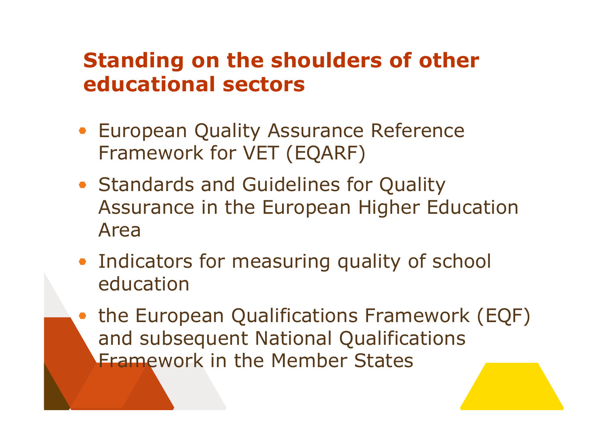#### Standing on the shoulders of other educational sectors

- **European Quality Assurance Reference** Framework for VET (EQARF)
- Standards and Guidelines for Quality Assurance in the European Higher Education Area
- Indicators for measuring quality of school education
- the European Qualifications Framework (EQF) and subsequent National Qualifications Framework in the Member States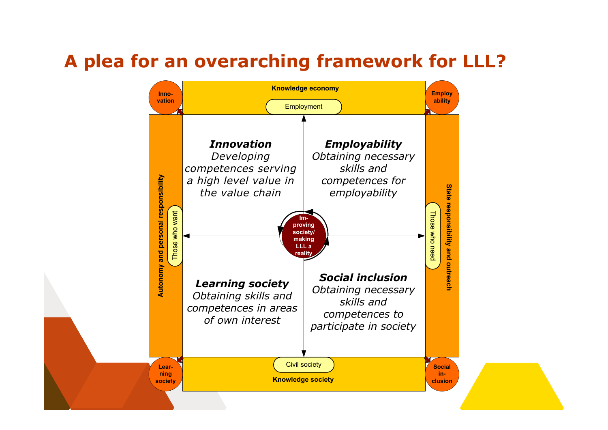#### A plea for an overarching framework for LLL?

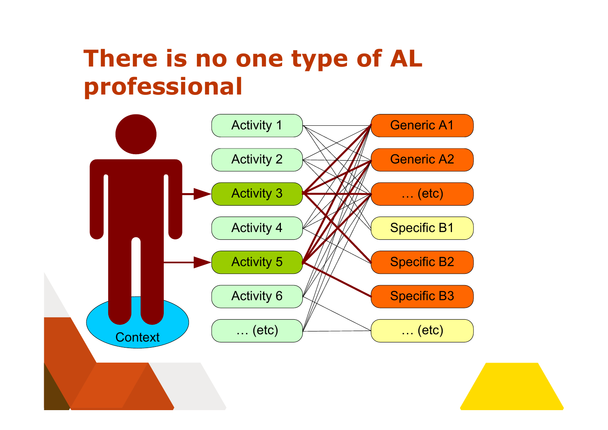### There is no one type of AL professional

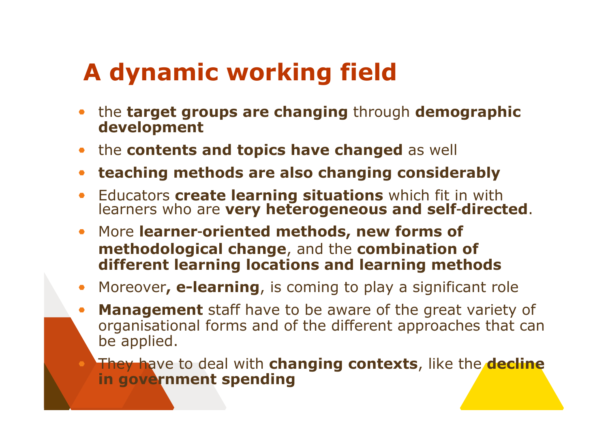### A dynamic working field

- the target groups are changing through demographic development
- the contents and topics have changed as well
- teaching methods are also changing considerably
- Educators create learning situations which fit in with Educators **create learning situations** which fit in with<br>learners who are **very heterogeneous and self-directed**.  $\bullet$
- More learner**-**oriented methods, new forms of methodological change, and the combination of different learning locations and learning methods
- Moreover, e-learning, is coming to play a significant role  $\bullet$
- **Management** staff have to be aware of the great variety of  $\bullet$  organisational forms and of the different approaches that can be applied.

They have to deal with changing contexts, like the decline in government spending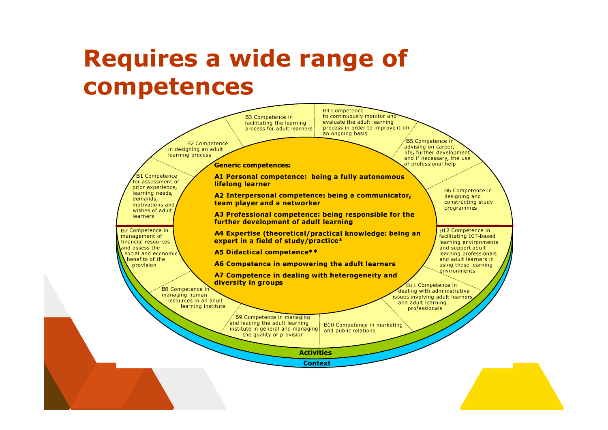### Requires a wide range of competences

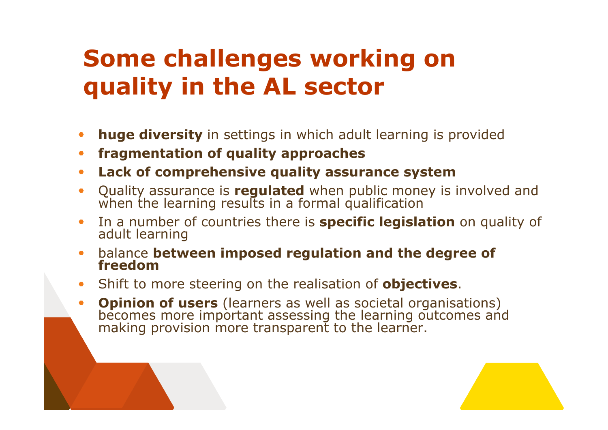### Some challenges working on quality in the AL sector

- huge diversity in settings in which adult learning is provided
- fragmentation of quality approaches $\qquad \qquad \bullet$
- Lack of comprehensive quality assurance system
- Quality assurance is **regulated** when public money is involved and<br>when the learning results in a formal qualification  $\bullet$
- In a number of countries there is **specific legislation** on quality of<br>adult learning
- balance between imposed regulation and the degree of<br>freedom  $\bullet$
- Shift to more steering on the realisation of **objectives**.  $\bullet$
- **Opinion of users** (learners as well as societal organisations)<br>becomes more important assessing the learning outcomes and<br>making provision more transparent to the learner.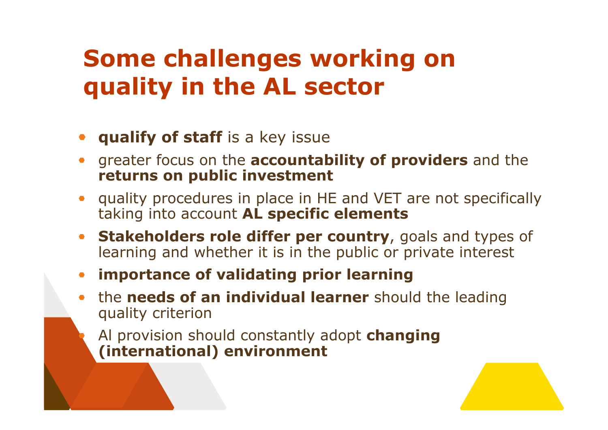### Some challenges working on quality in the AL sector

- **qualify of staff** is a key issue
- greater focus on the **accountability of providers** and the returns on public investment
- quality procedures in place in HE and VET are not specifically taking into account AL specific elements
- Stakeholders role differ per country, goals and types of  $\bullet$ learning and whether it is in the public or private interest
- importance of validating prior learning
- the needs of an individual learner should the leading quality criterion
	- Al provision should constantly adopt changing (international) environment

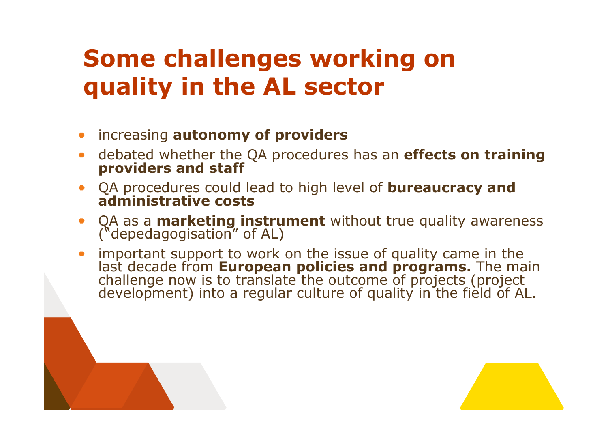### Some challenges working on quality in the AL sector

- increasing **autonomy of providers**
- debated whether the QA procedures has an **effects on training**<br>providers and staff
- QA procedures could lead to high level of **bureaucracy and** administrative costs
- QA as a **marketing instrument** without true quality awareness<br>("depedagogisation" of AL)<br>impartant support to work an the issue of suality same in the
- important support to work on the issue of quality came in the<br>last decade from **European policies and programs.** The main<br>challenge now is to translate the outcome of projects (project<br>development) into a regular culture o